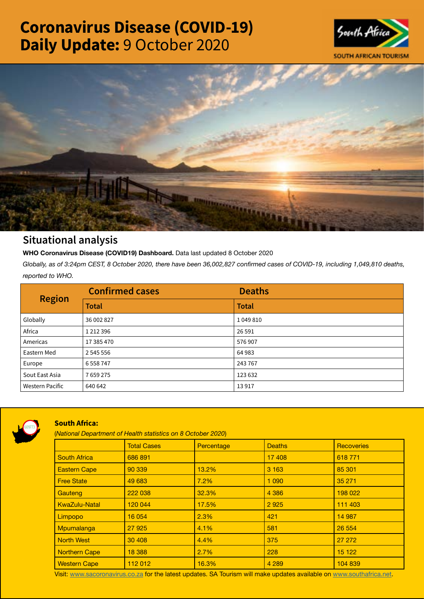# Coronavirus Disease (COVID-19) Daily Update: 9 October 2020





## Situational analysis

**WHO Coronavirus Disease (COVID19) Dashboard.** Data last updated 8 October 2020

*Globally, as of 3:24pm CEST, 8 October 2020, there have been 36,002,827 confirmed cases of COVID-19, including 1,049,810 deaths, reported to WHO.*

| <b>Region</b>          | <b>Confirmed cases</b> | <b>Deaths</b> |
|------------------------|------------------------|---------------|
|                        | <b>Total</b>           | <b>Total</b>  |
| Globally               | 36 002 827             | 1049810       |
| Africa                 | 1 2 1 2 3 9 6          | 26 5 91       |
| Americas               | 17 385 470             | 576907        |
| Eastern Med            | 2 545 556              | 64983         |
| Europe                 | 6 5 5 8 7 4 7          | 243767        |
| Sout East Asia         | 7659275                | 123 632       |
| <b>Western Pacific</b> | 640 642                | 13917         |



### South Africa:

(*National Department of Health statistics on 8 October 2020*)

|                      | <b>Total Cases</b> | Percentage | <b>Deaths</b> | <b>Recoveries</b> |  |
|----------------------|--------------------|------------|---------------|-------------------|--|
| <b>South Africa</b>  | 686 891            |            | 17 408        | 618771            |  |
| <b>Eastern Cape</b>  | 90 339             | 13.2%      | 3 1 6 3       | 85 301            |  |
| <b>Free State</b>    | 49 683             | 7.2%       | 1 0 9 0       | 35 271            |  |
| Gauteng              | 222 038            | 32.3%      | 4 3 8 6       | 198 022           |  |
| <b>KwaZulu-Natal</b> | 120 044            | 17.5%      | 2925          | 111 403           |  |
| Limpopo              | 16 054             | 2.3%       | 421           | 14 987            |  |
| Mpumalanga           | 27 9 25            | 4.1%       | 581           | 26 554            |  |
| <b>North West</b>    | 30 40 8            | 4.4%       | 375           | 27 27 2           |  |
| Northern Cape        | 18 3 88            | 2.7%       | 228           | 15 122            |  |
| <b>Western Cape</b>  | 112 012            | 16.3%      | 4 2 8 9       | 104 839           |  |

Visit: [www.sacoronavirus.co.za](http://www.sacoronavirus.co.za) for the latest updates. SA Tourism will make updates available on [www.southafrica.net.](http://www.southafrica.net)